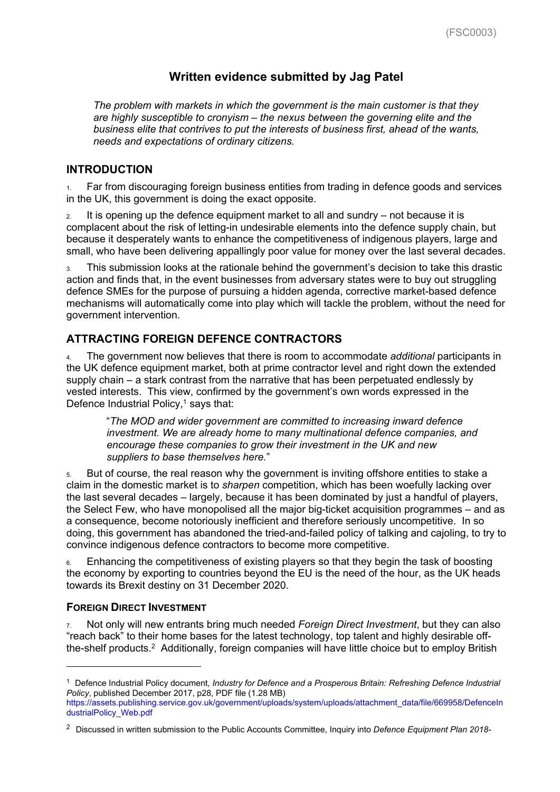# **Written evidence submitted by Jag Patel**

*The problem with markets in which the government is the main customer is that they are highly susceptible to cronyism – the nexus between the governing elite and the business elite that contrives to put the interests of business first, ahead of the wants, needs and expectations of ordinary citizens.*

## **INTRODUCTION**

1. Far from discouraging foreign business entities from trading in defence goods and services in the UK, this government is doing the exact opposite.

 $2.$  It is opening up the defence equipment market to all and sundry – not because it is complacent about the risk of letting-in undesirable elements into the defence supply chain, but because it desperately wants to enhance the competitiveness of indigenous players, large and small, who have been delivering appallingly poor value for money over the last several decades.

3. This submission looks at the rationale behind the government's decision to take this drastic action and finds that, in the event businesses from adversary states were to buy out struggling defence SMEs for the purpose of pursuing a hidden agenda, corrective market-based defence mechanisms will automatically come into play which will tackle the problem, without the need for government intervention.

# **ATTRACTING FOREIGN DEFENCE CONTRACTORS**

4. The government now believes that there is room to accommodate *additional* participants in the UK defence equipment market, both at prime contractor level and right down the extended supply chain – a stark contrast from the narrative that has been perpetuated endlessly by vested interests. This view, confirmed by the government's own words expressed in the Defence Industrial Policy, $1$  says that:

"*The MOD and wider government are committed to increasing inward defence investment. We are already home to many multinational defence companies, and encourage these companies to grow their investment in the UK and new suppliers to base themselves here.*"

5. But of course, the real reason why the government is inviting offshore entities to stake a claim in the domestic market is to *sharpen* competition, which has been woefully lacking over the last several decades – largely, because it has been dominated by just a handful of players, the Select Few, who have monopolised all the major big-ticket acquisition programmes – and as a consequence, become notoriously inefficient and therefore seriously uncompetitive. In so doing, this government has abandoned the tried-and-failed policy of talking and cajoling, to try to convince indigenous defence contractors to become more competitive.

6. Enhancing the competitiveness of existing players so that they begin the task of boosting the economy by exporting to countries beyond the EU is the need of the hour, as the UK heads towards its Brexit destiny on 31 December 2020.

## **FOREIGN DIRECT INVESTMENT**

7. Not only will new entrants bring much needed *Foreign Direct Investment*, but they can also "reach back" to their home bases for the latest technology, top talent and highly desirable offthe-shelf products.<sup>2</sup> Additionally, foreign companies will have little choice but to employ British

<sup>1</sup> Defence Industrial Policy document, *Industry for Defence and a Prosperous Britain: Refreshing Defence Industrial Policy*, published December 2017, p28, PDF file (1.28 MB) [https://assets.publishing.service.gov.uk/government/uploads/system/uploads/attachment\\_data/file/669958/DefenceIn](https://assets.publishing.service.gov.uk/government/uploads/system/uploads/attachment_data/file/669958/DefenceIndustrialPolicy_Web.pdf)

[dustrialPolicy\\_Web.pdf](https://assets.publishing.service.gov.uk/government/uploads/system/uploads/attachment_data/file/669958/DefenceIndustrialPolicy_Web.pdf)

<sup>2</sup> Discussed in written submission to the Public Accounts Committee, Inquiry into *Defence Equipment Plan 2018-*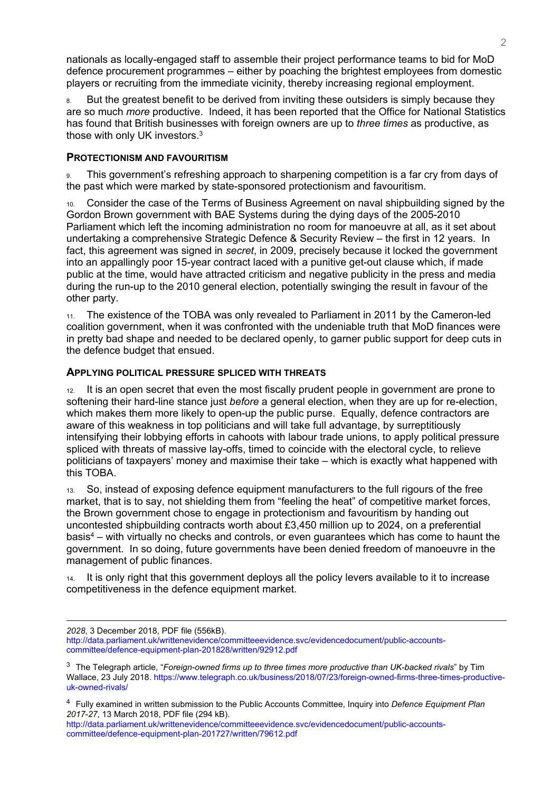nationals as locally-engaged staff to assemble their project performance teams to bid for MoD defence procurement programmes – either by poaching the brightest employees from domestic players or recruiting from the immediate vicinity, thereby increasing regional employment.

8. But the greatest benefit to be derived from inviting these outsiders is simply because they are so much *more* productive. Indeed, it has been reported that the Office for National Statistics has found that British businesses with foreign owners are up to *three times* as productive, as those with only UK investors. $3$ 

## **PROTECTIONISM AND FAVOURITISM**

9. This government's refreshing approach to sharpening competition is a far cry from days of the past which were marked by state-sponsored protectionism and favouritism.

10. Consider the case of the Terms of Business Agreement on naval shipbuilding signed by the Gordon Brown government with BAE Systems during the dying days of the 2005-2010 Parliament which left the incoming administration no room for manoeuvre at all, as it set about undertaking a comprehensive Strategic Defence & Security Review – the first in 12 years. In fact, this agreement was signed in *secret*, in 2009, precisely because it locked the government into an appallingly poor 15-year contract laced with a punitive get-out clause which, if made public at the time, would have attracted criticism and negative publicity in the press and media during the run-up to the 2010 general election, potentially swinging the result in favour of the other party.

11. The existence of the TOBA was only revealed to Parliament in 2011 by the Cameron-led coalition government, when it was confronted with the undeniable truth that MoD finances were in pretty bad shape and needed to be declared openly, to garner public support for deep cuts in the defence budget that ensued.

### **APPLYING POLITICAL PRESSURE SPLICED WITH THREATS**

12. It is an open secret that even the most fiscally prudent people in government are prone to softening their hard-line stance just *before* a general election, when they are up for re-election, which makes them more likely to open-up the public purse. Equally, defence contractors are aware of this weakness in top politicians and will take full advantage, by surreptitiously intensifying their lobbying efforts in cahoots with labour trade unions, to apply political pressure spliced with threats of massive lay-offs, timed to coincide with the electoral cycle, to relieve politicians of taxpayers' money and maximise their take – which is exactly what happened with this TOBA.

13. So, instead of exposing defence equipment manufacturers to the full rigours of the free market, that is to say, not shielding them from "feeling the heat" of competitive market forces, the Brown government chose to engage in protectionism and favouritism by handing out uncontested shipbuilding contracts worth about £3,450 million up to 2024, on a preferential basis<sup>4</sup> – with virtually no checks and controls, or even guarantees which has come to haunt the government. In so doing, future governments have been denied freedom of manoeuvre in the management of public finances.

14. It is only right that this government deploys all the policy levers available to it to increase competitiveness in the defence equipment market.

*2028*, 3 December 2018, PDF file (556kB).

[http://data.parliament.uk/writtenevidence/committeeevidence.svc/evidencedocument/public-accounts](http://data.parliament.uk/writtenevidence/committeeevidence.svc/evidencedocument/public-accounts-committee/defence-equipment-plan-201828/written/92912.pdf)[committee/defence-equipment-plan-201828/written/92912.pdf](http://data.parliament.uk/writtenevidence/committeeevidence.svc/evidencedocument/public-accounts-committee/defence-equipment-plan-201828/written/92912.pdf)

<sup>3</sup> The Telegraph article, "*Foreign-owned firms up to three times more productive than UK-backed rivals*" by Tim Wallace, 23 July 2018. [https://www.telegraph.co.uk/business/2018/07/23/foreign-owned-firms-three-times-productive](https://www.telegraph.co.uk/business/2018/07/23/foreign-owned-firms-three-times-productive-uk-owned-rivals/)[uk-owned-rivals/](https://www.telegraph.co.uk/business/2018/07/23/foreign-owned-firms-three-times-productive-uk-owned-rivals/)

<sup>4</sup> Fully examined in written submission to the Public Accounts Committee, Inquiry into *Defence Equipment Plan 2017-27*, 13 March 2018, PDF file (294 kB).

[http://data.parliament.uk/writtenevidence/committeeevidence.svc/evidencedocument/public-accounts](http://data.parliament.uk/writtenevidence/committeeevidence.svc/evidencedocument/public-accounts-committee/defence-equipment-plan-201727/written/79612.pdf)[committee/defence-equipment-plan-201727/written/79612.pdf](http://data.parliament.uk/writtenevidence/committeeevidence.svc/evidencedocument/public-accounts-committee/defence-equipment-plan-201727/written/79612.pdf)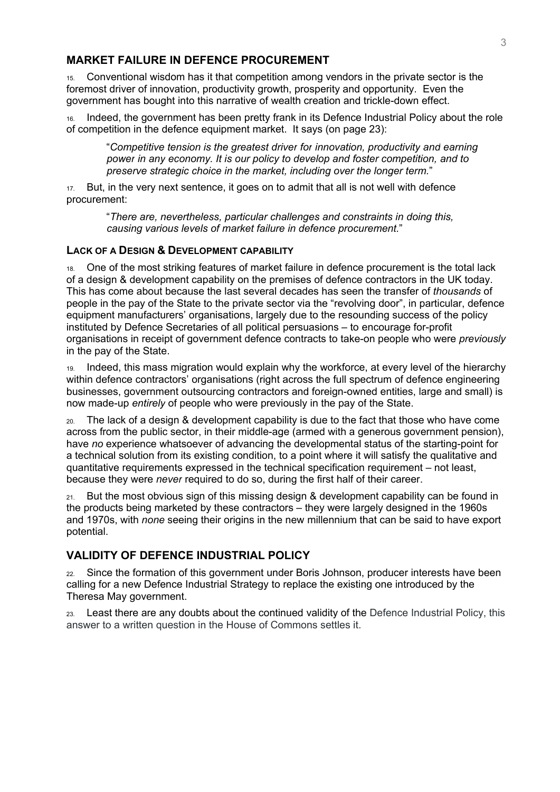# **MARKET FAILURE IN DEFENCE PROCUREMENT**

15. Conventional wisdom has it that competition among vendors in the private sector is the foremost driver of innovation, productivity growth, prosperity and opportunity. Even the government has bought into this narrative of wealth creation and trickle-down effect.

Indeed, the government has been pretty frank in its Defence Industrial Policy about the role of competition in the defence equipment market. It says (on page 23):

"*Competitive tension is the greatest driver for innovation, productivity and earning power in any economy. It is our policy to develop and foster competition, and to preserve strategic choice in the market, including over the longer term.*"

17. But, in the very next sentence, it goes on to admit that all is not well with defence procurement:

> "*There are, nevertheless, particular challenges and constraints in doing this, causing various levels of market failure in defence procurement.*"

### **LACK OF A DESIGN & DEVELOPMENT CAPABILITY**

18. One of the most striking features of market failure in defence procurement is the total lack of a design & development capability on the premises of defence contractors in the UK today. This has come about because the last several decades has seen the transfer of *thousands* of people in the pay of the State to the private sector via the "revolving door", in particular, defence equipment manufacturers' organisations, largely due to the resounding success of the policy instituted by Defence Secretaries of all political persuasions – to encourage for-profit organisations in receipt of government defence contracts to take-on people who were *previously* in the pay of the State.

19. Indeed, this mass migration would explain why the workforce, at every level of the hierarchy within defence contractors' organisations (right across the full spectrum of defence engineering businesses, government outsourcing contractors and foreign-owned entities, large and small) is now made-up *entirely* of people who were previously in the pay of the State.

20. The lack of a design & development capability is due to the fact that those who have come across from the public sector, in their middle-age (armed with a generous government pension), have *no* experience whatsoever of advancing the developmental status of the starting-point for a technical solution from its existing condition, to a point where it will satisfy the qualitative and quantitative requirements expressed in the technical specification requirement – not least, because they were *never* required to do so, during the first half of their career.

But the most obvious sign of this missing design & development capability can be found in the products being marketed by these contractors – they were largely designed in the 1960s and 1970s, with *none* seeing their origins in the new millennium that can be said to have export potential.

# **VALIDITY OF DEFENCE INDUSTRIAL POLICY**

22. Since the formation of this government under Boris Johnson, producer interests have been calling for a new Defence Industrial Strategy to replace the existing one introduced by the Theresa May government.

23. Least there are any doubts about the continued validity of the Defence Industrial Policy, this answer to a written question in the House of Commons settles it.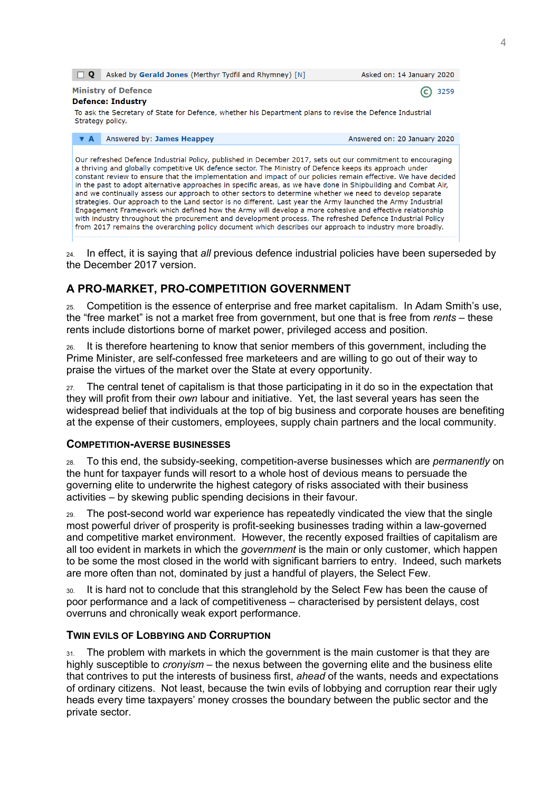| ⊟ Q                                                                                                                                                                                                                                                                                                                                                                                                                                                                                                                                                                                                                                                                                                                                                                                                                                                                                                                                                                                                                        | Asked by Gerald Jones (Merthyr Tydfil and Rhymney) [N] | Asked on: 14 January 2020    |
|----------------------------------------------------------------------------------------------------------------------------------------------------------------------------------------------------------------------------------------------------------------------------------------------------------------------------------------------------------------------------------------------------------------------------------------------------------------------------------------------------------------------------------------------------------------------------------------------------------------------------------------------------------------------------------------------------------------------------------------------------------------------------------------------------------------------------------------------------------------------------------------------------------------------------------------------------------------------------------------------------------------------------|--------------------------------------------------------|------------------------------|
| <b>Ministry of Defence</b>                                                                                                                                                                                                                                                                                                                                                                                                                                                                                                                                                                                                                                                                                                                                                                                                                                                                                                                                                                                                 |                                                        | 3259                         |
| <b>Defence: Industry</b>                                                                                                                                                                                                                                                                                                                                                                                                                                                                                                                                                                                                                                                                                                                                                                                                                                                                                                                                                                                                   |                                                        |                              |
| To ask the Secretary of State for Defence, whether his Department plans to revise the Defence Industrial<br>Strategy policy.                                                                                                                                                                                                                                                                                                                                                                                                                                                                                                                                                                                                                                                                                                                                                                                                                                                                                               |                                                        |                              |
| Answered by: James Heappey<br><b>v</b> A                                                                                                                                                                                                                                                                                                                                                                                                                                                                                                                                                                                                                                                                                                                                                                                                                                                                                                                                                                                   |                                                        | Answered on: 20 January 2020 |
| Our refreshed Defence Industrial Policy, published in December 2017, sets out our commitment to encouraging<br>a thriving and globally competitive UK defence sector. The Ministry of Defence keeps its approach under<br>constant review to ensure that the implementation and impact of our policies remain effective. We have decided<br>in the past to adopt alternative approaches in specific areas, as we have done in Shipbuilding and Combat Air,<br>and we continually assess our approach to other sectors to determine whether we need to develop separate<br>strategies. Our approach to the Land sector is no different. Last year the Army launched the Army Industrial<br>Engagement Framework which defined how the Army will develop a more cohesive and effective relationship<br>with industry throughout the procurement and development process. The refreshed Defence Industrial Policy<br>from 2017 remains the overarching policy document which describes our approach to industry more broadly. |                                                        |                              |

24. In effect, it is saying that *all* previous defence industrial policies have been superseded by the December 2017 version.

# **A PRO-MARKET, PRO-COMPETITION GOVERNMENT**

25. Competition is the essence of enterprise and free market capitalism. In Adam Smith's use, the "free market" is not a market free from government, but one that is free from *rents* – these rents include distortions borne of market power, privileged access and position.

26. It is therefore heartening to know that senior members of this government, including the Prime Minister, are self-confessed free marketeers and are willing to go out of their way to praise the virtues of the market over the State at every opportunity.

 $27.$  The central tenet of capitalism is that those participating in it do so in the expectation that they will profit from their *own* labour and initiative. Yet, the last several years has seen the widespread belief that individuals at the top of big business and corporate houses are benefiting at the expense of their customers, employees, supply chain partners and the local community.

## **COMPETITION-AVERSE BUSINESSES**

28. To this end, the subsidy-seeking, competition-averse businesses which are *permanently* on the hunt for taxpayer funds will resort to a whole host of devious means to persuade the governing elite to underwrite the highest category of risks associated with their business activities – by skewing public spending decisions in their favour.

29. The post-second world war experience has repeatedly vindicated the view that the single most powerful driver of prosperity is profit-seeking businesses trading within a law-governed and competitive market environment. However, the recently exposed frailties of capitalism are all too evident in markets in which the *government* is the main or only customer, which happen to be some the most closed in the world with significant barriers to entry. Indeed, such markets are more often than not, dominated by just a handful of players, the Select Few.

30. It is hard not to conclude that this stranglehold by the Select Few has been the cause of poor performance and a lack of competitiveness – characterised by persistent delays, cost overruns and chronically weak export performance.

## **TWIN EVILS OF LOBBYING AND CORRUPTION**

31. The problem with markets in which the government is the main customer is that they are highly susceptible to *cronyism* – the nexus between the governing elite and the business elite that contrives to put the interests of business first, *ahead* of the wants, needs and expectations of ordinary citizens. Not least, because the twin evils of lobbying and corruption rear their ugly heads every time taxpayers' money crosses the boundary between the public sector and the private sector.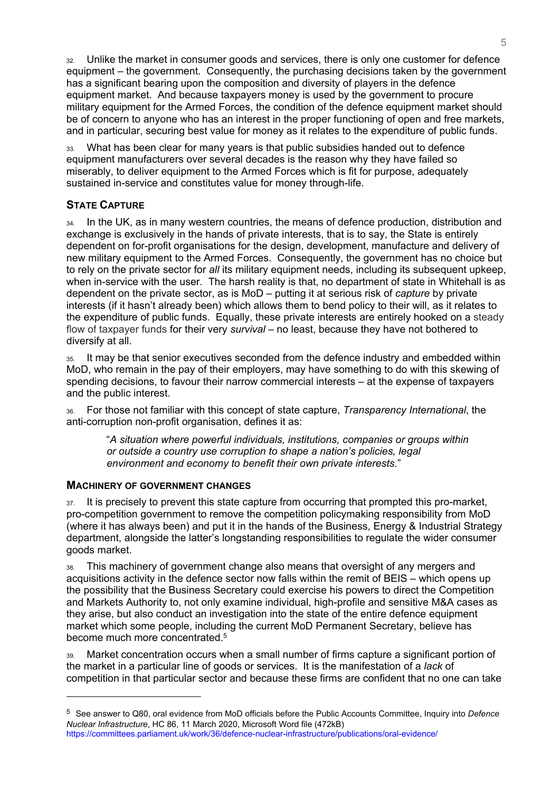32. Unlike the market in consumer goods and services, there is only one customer for defence equipment – the government. Consequently, the purchasing decisions taken by the government has a significant bearing upon the composition and diversity of players in the defence equipment market. And because taxpayers money is used by the government to procure military equipment for the Armed Forces, the condition of the defence equipment market should be of concern to anyone who has an interest in the proper functioning of open and free markets, and in particular, securing best value for money as it relates to the expenditure of public funds.

What has been clear for many years is that public subsidies handed out to defence equipment manufacturers over several decades is the reason why they have failed so miserably, to deliver equipment to the Armed Forces which is fit for purpose, adequately sustained in-service and constitutes value for money through-life.

# **STATE CAPTURE**

34. In the UK, as in many western countries, the means of defence production, distribution and exchange is exclusively in the hands of private interests, that is to say, the State is entirely dependent on for-profit organisations for the design, development, manufacture and delivery of new military equipment to the Armed Forces. Consequently, the government has no choice but to rely on the private sector for *all* its military equipment needs, including its subsequent upkeep, when in-service with the user. The harsh reality is that, no department of state in Whitehall is as dependent on the private sector, as is MoD – putting it at serious risk of *capture* by private interests (if it hasn't already been) which allows them to bend policy to their will, as it relates to the expenditure of public funds. Equally, these private interests are entirely hooked on a steady flow of taxpayer funds for their very *survival* – no least, because they have not bothered to diversify at all.

35. It may be that senior executives seconded from the defence industry and embedded within MoD, who remain in the pay of their employers, may have something to do with this skewing of spending decisions, to favour their narrow commercial interests – at the expense of taxpayers and the public interest.

36. For those not familiar with this concept of state capture, *Transparency International*, the anti-corruption non-profit organisation, defines it as:

"*A situation where powerful individuals, institutions, companies or groups within or outside a country use corruption to shape a nation's policies, legal environment and economy to benefit their own private interests.*"

## **MACHINERY OF GOVERNMENT CHANGES**

 $37.$  It is precisely to prevent this state capture from occurring that prompted this pro-market, pro-competition government to remove the competition policymaking responsibility from MoD (where it has always been) and put it in the hands of the Business, Energy & Industrial Strategy department, alongside the latter's longstanding responsibilities to regulate the wider consumer goods market.

38. This machinery of government change also means that oversight of any mergers and acquisitions activity in the defence sector now falls within the remit of BEIS – which opens up the possibility that the Business Secretary could exercise his powers to direct the Competition and Markets Authority to, not only examine individual, high-profile and sensitive M&A cases as they arise, but also conduct an investigation into the state of the entire defence equipment market which some people, including the current MoD Permanent Secretary, believe has become much more concentrated.<sup>5</sup>

39. Market concentration occurs when a small number of firms capture a significant portion of the market in a particular line of goods or services. It is the manifestation of a *lack* of competition in that particular sector and because these firms are confident that no one can take

<sup>5</sup> See answer to Q80, oral evidence from MoD officials before the Public Accounts Committee, Inquiry into *Defence Nuclear Infrastructure*, HC 86, 11 March 2020, Microsoft Word file (472kB) <https://committees.parliament.uk/work/36/defence-nuclear-infrastructure/publications/oral-evidence/>